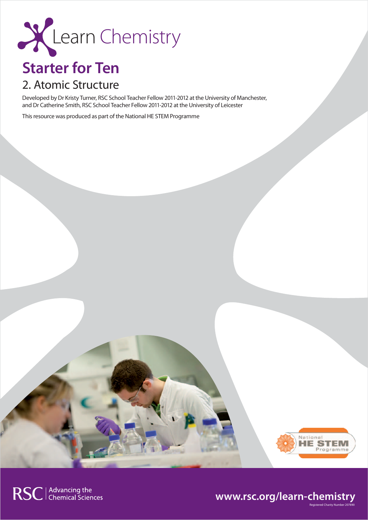

# **Starter for Ten**

# 2. Atomic Structure

Developed by Dr Kristy Turner, RSC School Teacher Fellow 2011-2012 at the University of Manchester, and Dr Catherine Smith, RSC School Teacher Fellow 2011-2012 at the University of Leicester

This resource was produced as part of the National HE STEM Programme



Registered Charity Number 207890

## **www.rsc.org/learn-chemistry**

RSC | Advancing the<br>
Chemical Sciences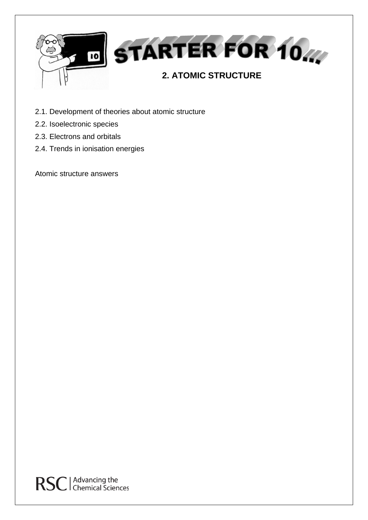

- 2.1. Development of theories about atomic structure
- 2.2. Isoelectronic species
- 2.3. Electrons and orbitals
- 2.4. Trends in ionisation energies

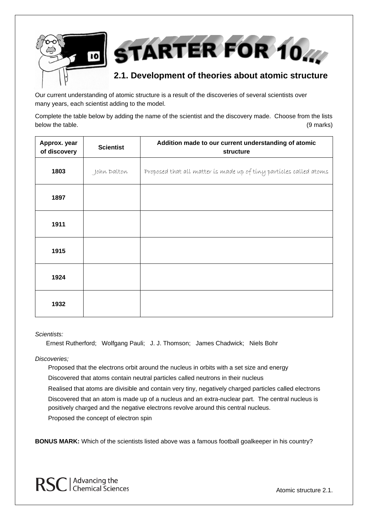

Our current understanding of atomic structure is a result of the discoveries of several scientists over many years, each scientist adding to the model.

Complete the table below by adding the name of the scientist and the discovery made. Choose from the lists below the table. (9 marks)  $(9 \text{ marks})$ 

| Approx. year<br>of discovery | <b>Scientist</b> | Addition made to our current understanding of atomic<br>structure  |
|------------------------------|------------------|--------------------------------------------------------------------|
| 1803                         | John Dalton      | Proposed that all matter is made up of tiny particles called atoms |
| 1897                         |                  |                                                                    |
| 1911                         |                  |                                                                    |
| 1915                         |                  |                                                                    |
| 1924                         |                  |                                                                    |
| 1932                         |                  |                                                                    |

### *Scientists:*

Ernest Rutherford; Wolfgang Pauli; J. J. Thomson; James Chadwick; Niels Bohr

### *Discoveries;*

Proposed that the electrons orbit around the nucleus in orbits with a set size and energy

Discovered that atoms contain neutral particles called neutrons in their nucleus

Realised that atoms are divisible and contain very tiny, negatively charged particles called electrons Discovered that an atom is made up of a nucleus and an extra-nuclear part. The central nucleus is positively charged and the negative electrons revolve around this central nucleus.

Proposed the concept of electron spin

**BONUS MARK:** Which of the scientists listed above was a famous football goalkeeper in his country?



Atomic structure 2.1.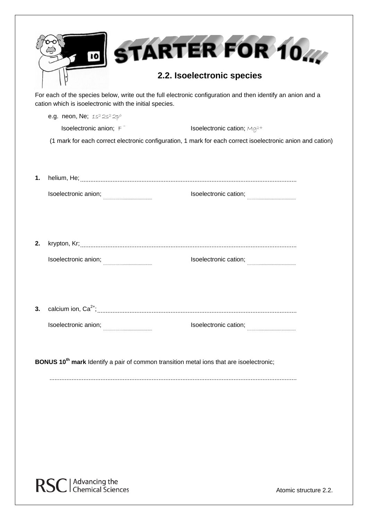|                                                                                                     | 10 <br>cation which is isoelectronic with the initial species. | STARTER FOR 10<br>2.2. Isoelectronic species<br>For each of the species below, write out the full electronic configuration and then identify an anion and a |  |  |
|-----------------------------------------------------------------------------------------------------|----------------------------------------------------------------|-------------------------------------------------------------------------------------------------------------------------------------------------------------|--|--|
|                                                                                                     | e.g. neon, Ne; 1s <sup>2</sup> 2s <sup>2</sup> 2p <sup>6</sup> |                                                                                                                                                             |  |  |
|                                                                                                     | Isoelectronic anion; $F^-$                                     | Isoelectronic cation; Mg <sup>2+</sup>                                                                                                                      |  |  |
|                                                                                                     |                                                                | (1 mark for each correct electronic configuration, 1 mark for each correct isoelectronic anion and cation)                                                  |  |  |
| 1.                                                                                                  |                                                                |                                                                                                                                                             |  |  |
|                                                                                                     | Isoelectronic anion;                                           | Isoelectronic cation;                                                                                                                                       |  |  |
| 2.                                                                                                  | Isoelectronic anion;                                           | Isoelectronic cation;                                                                                                                                       |  |  |
| 3.                                                                                                  |                                                                | Isoelectronic cation;                                                                                                                                       |  |  |
| BONUS 10 <sup>th</sup> mark Identify a pair of common transition metal ions that are isoelectronic; |                                                                |                                                                                                                                                             |  |  |



Atomic structure 2.2.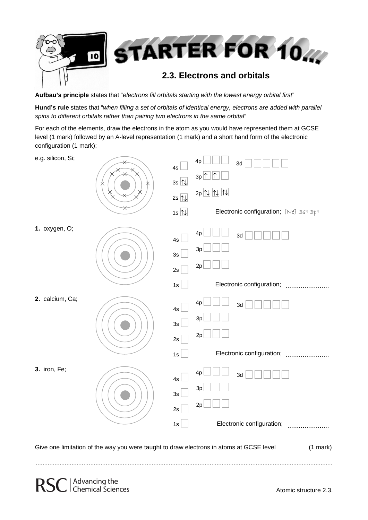

**Aufbau's principle** states that "*electrons fill orbitals starting with the lowest energy orbital first*"

**Hund's rule** states that "*when filling a set of orbitals of identical energy, electrons are added with parallel spins to different orbitals rather than pairing two electrons in the same orbital*"

For each of the elements, draw the electrons in the atom as you would have represented them at GCSE level (1 mark) followed by an A-level representation (1 mark) and a short hand form of the electronic configuration (1 mark);

| e.g. silicon, Si; | 4s<br>$3s$ $\mathbb{N}$<br>2s $\overline{\mathbb{N}}$<br>1s $\overline{N}$ | 4p<br>3d<br>$3p\boxed{\uparrow}$<br>$2p\sqrt{N}$<br>Electronic configuration; [Ne] 3s <sup>2</sup> 3p <sup>2</sup> |
|-------------------|----------------------------------------------------------------------------|--------------------------------------------------------------------------------------------------------------------|
| 1. oxygen, O;     | 4s<br>3s<br>2s                                                             | 4p<br>3d<br>3p<br>2p                                                                                               |
| 2. calcium, Ca;   | 1s<br>4s<br>$3\mathrm{s}$<br>2s<br>1s                                      | 4p<br>3d<br>3p<br>2p<br>Electronic configuration;                                                                  |
| 3. iron, Fe;      | 4s<br>3s<br>2s<br>$1s$                                                     | 4p<br>3d<br>3p<br>2p<br>Electronic configuration;                                                                  |
|                   |                                                                            | Give one limitation of the way you were taught to draw electrons in atoms at GCSE level<br>$(1$ mark)              |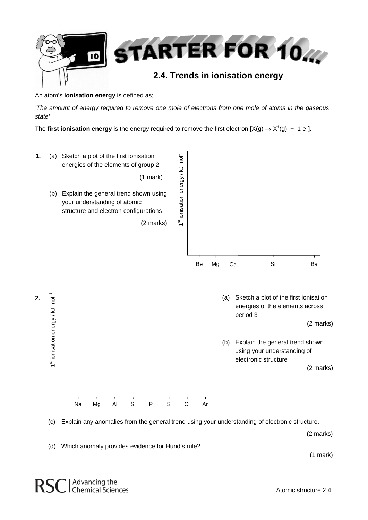

An atom's **ionisation energy** is defined as;

*'The amount of energy required to remove one mole of electrons from one mole of atoms in the gaseous state'*

The first ionisation energy is the energy required to remove the first electron  $[X(g) \to X^+(g) + 1 e^-]$ .



(2 marks)

(d) Which anomaly provides evidence for Hund's rule?

(1 mark)

RSC | Advancing the<br>
RSC | Chemical Sciences

Atomic structure 2.4.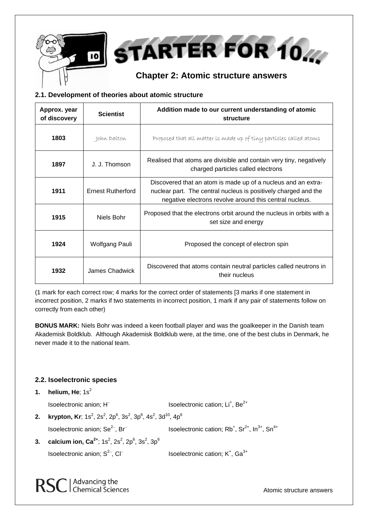



## **Chapter 2: Atomic structure answers**

## **2.1. Development of theories about atomic structure**

| Approx. year<br>of discovery | <b>Scientist</b>         | Addition made to our current understanding of atomic<br>structure                                                                                                                           |
|------------------------------|--------------------------|---------------------------------------------------------------------------------------------------------------------------------------------------------------------------------------------|
| 1803                         | John Dalton              | Proposed that all matter is made up of tiny particles called atoms                                                                                                                          |
| 1897                         | J. J. Thomson            | Realised that atoms are divisible and contain very tiny, negatively<br>charged particles called electrons                                                                                   |
| 1911                         | <b>Ernest Rutherford</b> | Discovered that an atom is made up of a nucleus and an extra-<br>nuclear part. The central nucleus is positively charged and the<br>negative electrons revolve around this central nucleus. |
| 1915                         | Niels Bohr               | Proposed that the electrons orbit around the nucleus in orbits with a<br>set size and energy                                                                                                |
| 1924                         | Wolfgang Pauli           | Proposed the concept of electron spin                                                                                                                                                       |
| 1932                         | James Chadwick           | Discovered that atoms contain neutral particles called neutrons in<br>their nucleus                                                                                                         |

(1 mark for each correct row; 4 marks for the correct order of statements [3 marks if one statement in incorrect position, 2 marks if two statements in incorrect position, 1 mark if any pair of statements follow on correctly from each other)

**BONUS MARK:** Niels Bohr was indeed a keen football player and was the goalkeeper in the Danish team Akademisk Boldklub. Although Akademisk Boldklub were, at the time, one of the best clubs in Denmark, he never made it to the national team.

## **2.2. Isoelectronic species**

**1.** helium, He;  $1s^2$ 

Isoelectronic anion;  $H^-$  Isoelectronic cation; Li<sup>+</sup>, Be<sup>2+</sup>

**2. krypton, Kr**; 1s $^2$ , 2s $^2$ , 2p $^6$ , 3s $^2$ , 3p $^6$ , 4s $^2$ , 3d $^{10}$ , 4p $^6$ 

Isoelectronic anion; Se<sup>2−</sup>, Br<sup>−</sup>

, Br<sup>−</sup> Isoelectronic cation; Rb<sup>+</sup>, Sr<sup>2+</sup>, In<sup>3+</sup>, Sn<sup>4+</sup>

**3. calcium ion, Ca** $^{2+}$ **;** 1s $^{2}$ , 2s $^{2}$ , 2p $^{6}$ , 3s $^{2}$ , 3p $^{6}$ Isoelectronic anion; S<sup>2−</sup>, Cl<sup>−</sup>

, Cl<sup>−</sup> Isoelectronic cation; K<sup>+</sup>, Ga<sup>3+</sup>

RSC | Advancing the<br>
RSC | Chemical Sciences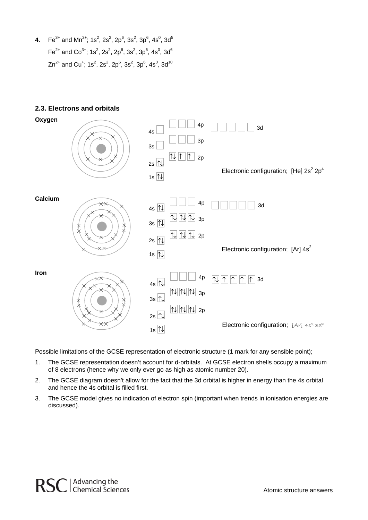**4.** Fe $^{3+}$  and Mn<sup>2+</sup>; 1s<sup>2</sup>, 2s<sup>2</sup>, 2p<sup>6</sup>, 3s<sup>2</sup>, 3p<sup>6</sup>, 4s<sup>0</sup>, 3d<sup>5</sup> Fe<sup>2+</sup> and Co<sup>3+</sup>; 1s<sup>2</sup>, 2s<sup>2</sup>, 2p<sup>6</sup>, 3s<sup>2</sup>, 3p<sup>6</sup>, 4s<sup>0</sup>, 3d<sup>6</sup> Zn $^{2+}$  and Cu $^+$ ; 1s $^2$ , 2s $^2$ , 2p $^6$ , 3s $^2$ , 3p $^6$ , 4s $^0$ , 3d $^{10}$ 

## **2.3. Electrons and orbitals**



Possible limitations of the GCSE representation of electronic structure (1 mark for any sensible point);

- 1. The GCSE representation doesn't account for d-orbitals. At GCSE electron shells occupy a maximum of 8 electrons (hence why we only ever go as high as atomic number 20).
- 2. The GCSE diagram doesn't allow for the fact that the 3d orbital is higher in energy than the 4s orbital and hence the 4s orbital is filled first.
- 3. The GCSE model gives no indication of electron spin (important when trends in ionisation energies are discussed).

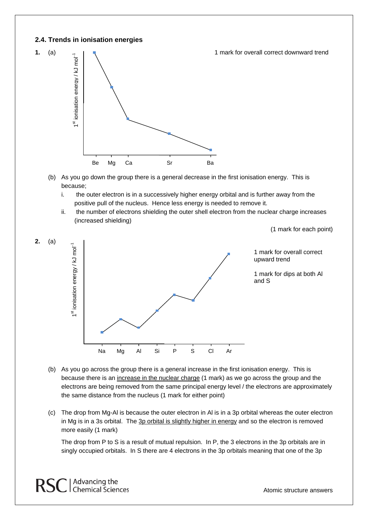## **2.4. Trends in ionisation energies**



- (b) As you go down the group there is a general decrease in the first ionisation energy. This is because;
	- i. the outer electron is in a successively higher energy orbital and is further away from the positive pull of the nucleus. Hence less energy is needed to remove it.
	- ii. the number of electrons shielding the outer shell electron from the nuclear charge increases (increased shielding)

(1 mark for each point)



- (b) As you go across the group there is a general increase in the first ionisation energy. This is because there is an increase in the nuclear charge (1 mark) as we go across the group and the electrons are being removed from the same principal energy level / the electrons are approximately the same distance from the nucleus (1 mark for either point)
- (c) The drop from Mg-Al is because the outer electron in Al is in a 3p orbital whereas the outer electron in Mg is in a 3s orbital. The 3p orbital is slightly higher in energy and so the electron is removed more easily (1 mark)

The drop from P to S is a result of mutual repulsion. In P, the 3 electrons in the 3p orbitals are in singly occupied orbitals. In S there are 4 electrons in the 3p orbitals meaning that one of the 3p

Advancing the<br>Chemical Sciences